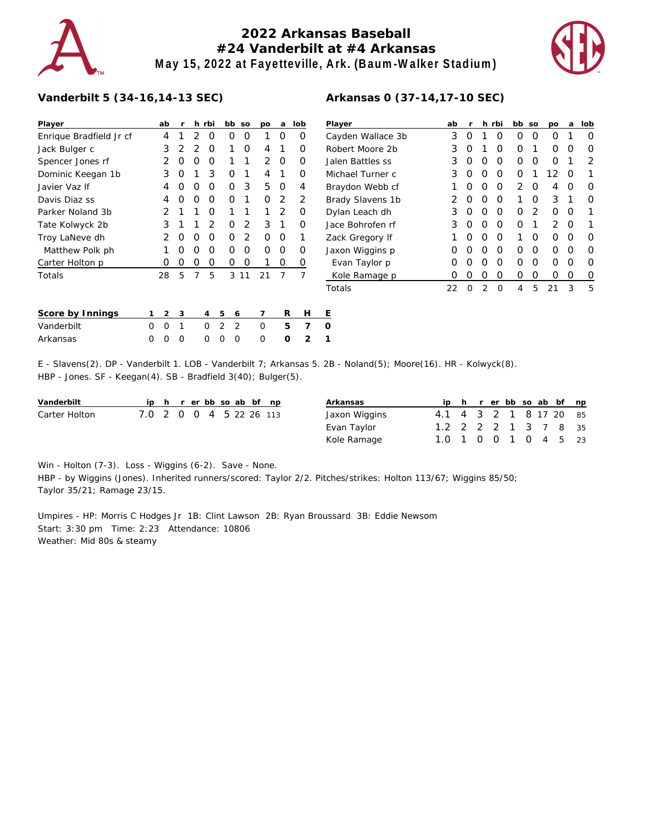# **2022 Arkansas Baseball #24 Vanderbilt at #4 Arkansas May 15, 2022 at Fayetteville, Ark. (Baum-Walker Stadium)**



## **Vanderbilt 5 (34-16,14-13 SEC)**

| Player                  |   | ab       | r |   | h rbi |   | bb | SO | po | a | lob            | $\overline{P}$ |
|-------------------------|---|----------|---|---|-------|---|----|----|----|---|----------------|----------------|
| Enrique Bradfield Jr cf |   | 4        | 1 | 2 | O     |   | Ο  | O  | 1  | O | Ο              | C              |
| Jack Bulger c           |   | 3        | 2 | 2 | O     |   | 1  | Ω  | 4  | 1 | Ο              | R              |
| Spencer Jones rf        |   | 2        | Ο | 0 | Ο     |   | 1  | 1  | 2  | O | O              | J.             |
| Dominic Keegan 1b       |   | 3        | Ο | 1 | 3     |   | O  | 1  | 4  | 1 | Ο              | N              |
| Javier Vaz If           |   | 4        | Ο | 0 | 0     |   | 0  | 3  | 5  | 0 | 4              | B              |
| Davis Diaz ss           |   | 4        | Ω | 0 | O     |   | O  | 1  | O  | 2 | 2              | B              |
| Parker Noland 3b        |   | 2        | 1 | 1 | O     |   | 1  | 1  | 1  | 2 | Ο              | D              |
| Tate Kolwyck 2b         |   | 3        | 1 | 1 | 2     |   | O  | 2  | 3  | 1 | Ο              | J.             |
| Troy LaNeve dh          |   | 2        | Ω | O | Ο     |   | Ο  | 2  | O  | O | 1              | Z              |
| Matthew Polk ph         |   | 1        | Ο | O | O     |   | Ο  | O  | O  | O | Ο              | J.             |
| Carter Holton p         |   | Ω        | O | 0 | 0     |   | 0  | 0  | 1  | 0 | 0              |                |
| Totals                  |   | 28       | 5 | 7 | 5     |   | 3  | 11 | 21 | 7 | 7              | Τ              |
| Score by Innings        | 1 | 2        | 3 |   | 4     | 5 | 6  |    | 7  | R | н              | Ε              |
| Vanderbilt              | Ω | $\Omega$ | 1 |   | Ω     | 2 | 2  |    | 0  | 5 | 7              | O              |
| Arkansas                | Ω | Ω        | Ω |   | Ω     | Ω | Ω  |    | Ω  | Ω | $\overline{2}$ | 1              |

| Player            | ab | r |   | h rbi    | bb            | SO       | po            | a | lob |
|-------------------|----|---|---|----------|---------------|----------|---------------|---|-----|
| Cayden Wallace 3b | 3  | O | 1 | Ω        | Ω             | O        | Ω             | 1 | Ω   |
| Robert Moore 2b   | 3  | O | 1 | Ω        | Ω             | 1        | Ω             | O | Ω   |
| Jalen Battles ss  | 3  | O | O | O        | Ω             | Ω        | Ω             | 1 | 2   |
| Michael Turner c  | 3  | O | Ω | O        | Ω             | 1        | 12            | O | 1   |
| Braydon Webb cf   | 1  | O | Ω | O        | $\mathcal{P}$ | O        | 4             | O | O   |
| Brady Slavens 1b  | 2  | Ω | Ω | O        | 1             | Ω        | 3             | 1 | Ω   |
| Dylan Leach dh    | 3  | O | Ω | O        | Ω             | 2        | Ω             | O |     |
| Jace Bohrofen rf  | 3  | O | Ω | O        | Ω             | 1        | $\mathcal{P}$ | O |     |
| Zack Gregory If   |    | Ω | Ο | O        | 1             | Ω        | Ω             | O | Ω   |
| Jaxon Wiggins p   | 0  | O | Ω | $\Omega$ | Ω             | $\Omega$ | Ω             | ∩ | Ω   |
| Evan Taylor p     | 0  | O | Ω | O        | ∩             | O        | Ω             | Ω | Ω   |
| Kole Ramage p     | 0  | Ω | Ω | Ω        | Ω             | Ω        | Ω             | Ω | O   |
| Totals            | 22 | Ω | 2 | Ω        | 4             | 5        | 21            | 3 | 5   |

#### **Arkansas 0 (37-14,17-10 SEC)**

E - Slavens(2). DP - Vanderbilt 1. LOB - Vanderbilt 7; Arkansas 5. 2B - Noland(5); Moore(16). HR - Kolwyck(8). HBP - Jones. SF - Keegan(4). SB - Bradfield 3(40); Bulger(5).

| Vanderbilt    |                         |  |  |  | ip h r er bb so ab bf np | Arkansas      |                        |  |  |  | ip h r er bb so ab bf np |  |
|---------------|-------------------------|--|--|--|--------------------------|---------------|------------------------|--|--|--|--------------------------|--|
| Carter Holton | 7.0 2 0 0 4 5 22 26 113 |  |  |  |                          | Jaxon Wiggins | 4.1 4 3 2 1 8 17 20 85 |  |  |  |                          |  |
|               |                         |  |  |  |                          | Evan Taylor   | 1.2 2 2 2 1 3 7 8 35   |  |  |  |                          |  |
|               |                         |  |  |  |                          | Kole Ramage   | 1.0 1 0 0 1 0 4 5 23   |  |  |  |                          |  |

Win - Holton (7-3). Loss - Wiggins (6-2). Save - None.

HBP - by Wiggins (Jones). Inherited runners/scored: Taylor 2/2. Pitches/strikes: Holton 113/67; Wiggins 85/50; Taylor 35/21; Ramage 23/15.

Umpires - HP: Morris C Hodges Jr 1B: Clint Lawson 2B: Ryan Broussard 3B: Eddie Newsom Start: 3:30 pm Time: 2:23 Attendance: 10806 Weather: Mid 80s & steamy